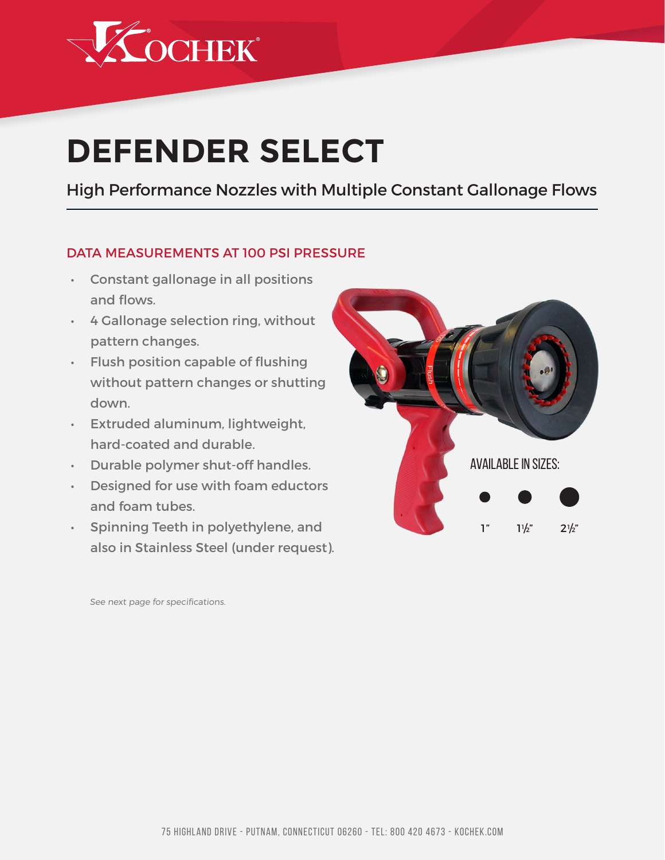

# **DEFENDER SELECT**

High Performance Nozzles with Multiple Constant Gallonage Flows

#### DATA MEASUREMENTS AT 100 PSI PRESSURE

- • Constant gallonage in all positions and flows.
- • 4 Gallonage selection ring, without pattern changes.
- • Flush position capable of flushing without pattern changes or shutting down.
- **Extruded aluminum, lightweight,** hard-coated and durable.
- • Durable polymer shut-off handles.
- • Designed for use with foam eductors and foam tubes.
- • Spinning Teeth in polyethylene, and also in Stainless Steel (under request).



See next page for specifications.